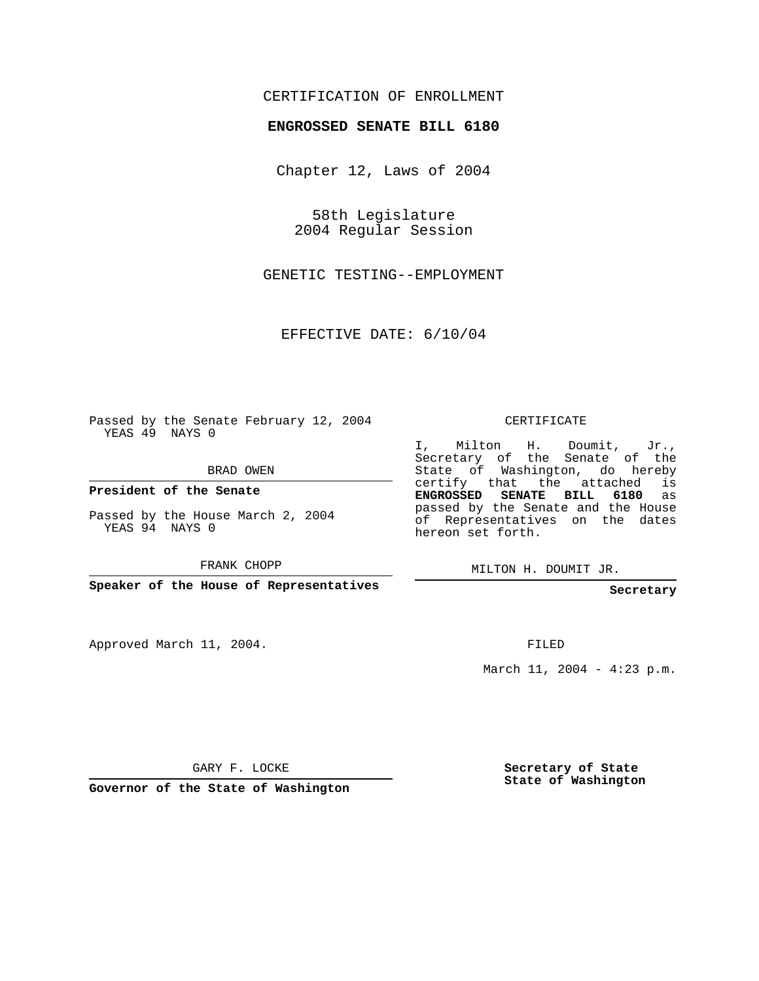## CERTIFICATION OF ENROLLMENT

## **ENGROSSED SENATE BILL 6180**

Chapter 12, Laws of 2004

58th Legislature 2004 Regular Session

GENETIC TESTING--EMPLOYMENT

EFFECTIVE DATE: 6/10/04

Passed by the Senate February 12, 2004 YEAS 49 NAYS 0

BRAD OWEN

**President of the Senate**

Passed by the House March 2, 2004 YEAS 94 NAYS 0

FRANK CHOPP

**Speaker of the House of Representatives**

Approved March 11, 2004.

CERTIFICATE

I, Milton H. Doumit, Jr., Secretary of the Senate of the State of Washington, do hereby certify that the attached is **ENGROSSED SENATE BILL 6180** as passed by the Senate and the House of Representatives on the dates hereon set forth.

MILTON H. DOUMIT JR.

**Secretary**

FILED

March 11, 2004 - 4:23 p.m.

GARY F. LOCKE

**Governor of the State of Washington**

**Secretary of State State of Washington**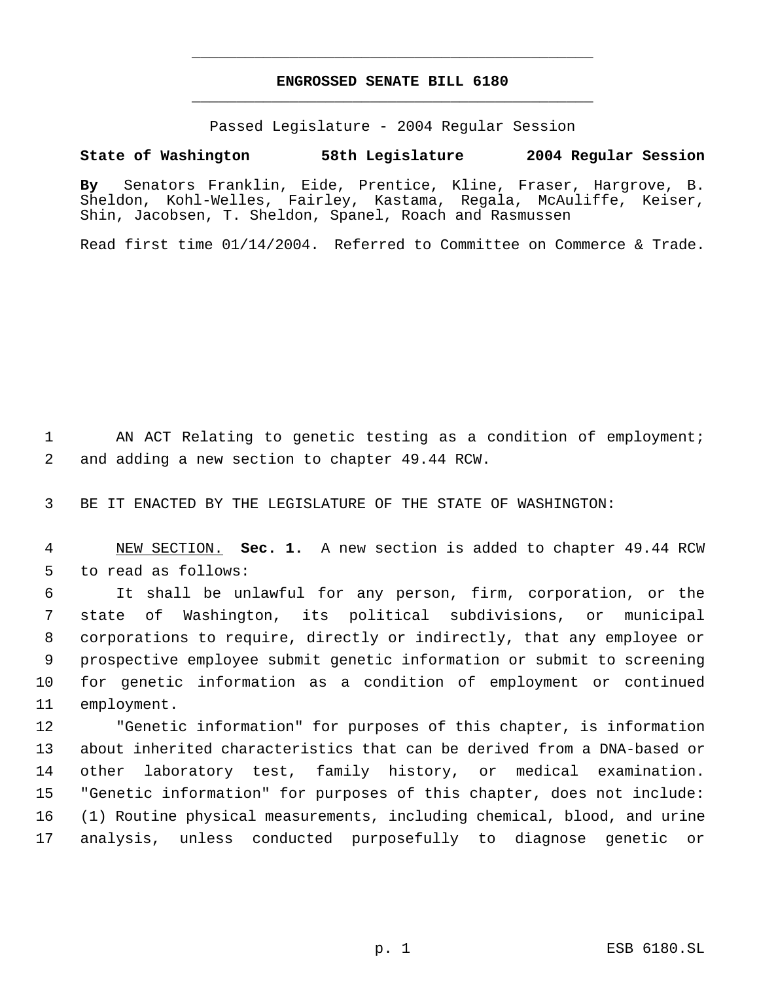## **ENGROSSED SENATE BILL 6180** \_\_\_\_\_\_\_\_\_\_\_\_\_\_\_\_\_\_\_\_\_\_\_\_\_\_\_\_\_\_\_\_\_\_\_\_\_\_\_\_\_\_\_\_\_

\_\_\_\_\_\_\_\_\_\_\_\_\_\_\_\_\_\_\_\_\_\_\_\_\_\_\_\_\_\_\_\_\_\_\_\_\_\_\_\_\_\_\_\_\_

Passed Legislature - 2004 Regular Session

## **State of Washington 58th Legislature 2004 Regular Session**

**By** Senators Franklin, Eide, Prentice, Kline, Fraser, Hargrove, B. Sheldon, Kohl-Welles, Fairley, Kastama, Regala, McAuliffe, Keiser, Shin, Jacobsen, T. Sheldon, Spanel, Roach and Rasmussen

Read first time 01/14/2004. Referred to Committee on Commerce & Trade.

1 AN ACT Relating to genetic testing as a condition of employment; 2 and adding a new section to chapter 49.44 RCW.

3 BE IT ENACTED BY THE LEGISLATURE OF THE STATE OF WASHINGTON:

 4 NEW SECTION. **Sec. 1.** A new section is added to chapter 49.44 RCW 5 to read as follows:

 It shall be unlawful for any person, firm, corporation, or the state of Washington, its political subdivisions, or municipal corporations to require, directly or indirectly, that any employee or prospective employee submit genetic information or submit to screening for genetic information as a condition of employment or continued employment.

 "Genetic information" for purposes of this chapter, is information about inherited characteristics that can be derived from a DNA-based or other laboratory test, family history, or medical examination. "Genetic information" for purposes of this chapter, does not include: (1) Routine physical measurements, including chemical, blood, and urine analysis, unless conducted purposefully to diagnose genetic or